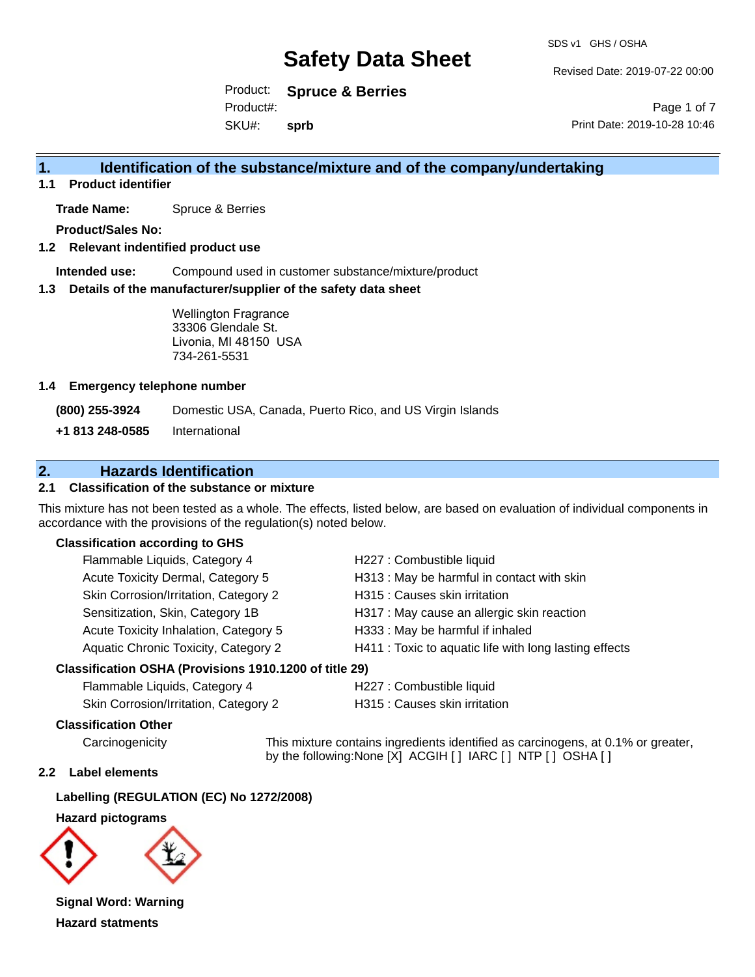Revised Date: 2019-07-22 00:00

Product: **Spruce & Berries** SKU#: Product#: **sprb**

Page 1 of 7 Print Date: 2019-10-28 10:46

### **1. Identification of the substance/mixture and of the company/undertaking**

**1.1 Product identifier**

**Trade Name:** Spruce & Berries

**Product/Sales No:**

#### **1.2 Relevant indentified product use**

**Intended use:** Compound used in customer substance/mixture/product

#### **1.3 Details of the manufacturer/supplier of the safety data sheet**

Wellington Fragrance 33306 Glendale St. Livonia, MI 48150 USA 734-261-5531

#### **1.4 Emergency telephone number**

**(800) 255-3924** Domestic USA, Canada, Puerto Rico, and US Virgin Islands

**+1 813 248-0585** International

### **2. Hazards Identification**

#### **2.1 Classification of the substance or mixture**

This mixture has not been tested as a whole. The effects, listed below, are based on evaluation of individual components in accordance with the provisions of the regulation(s) noted below.

#### **Classification according to GHS**

| Flammable Liquids, Category 4                       | H227 : Combustible liquid                              |
|-----------------------------------------------------|--------------------------------------------------------|
| Acute Toxicity Dermal, Category 5                   | H313: May be harmful in contact with skin              |
| Skin Corrosion/Irritation, Category 2               | H315 : Causes skin irritation                          |
| Sensitization, Skin, Category 1B                    | H317 : May cause an allergic skin reaction             |
| Acute Toxicity Inhalation, Category 5               | H333: May be harmful if inhaled                        |
| Aquatic Chronic Toxicity, Category 2                | H411 : Toxic to aquatic life with long lasting effects |
| coification OSHA (Provisions 1010 1200 of title 20) |                                                        |

#### **Classification OSHA (Provisions 1910.1200 of title 29)**

| Flammable Liquids, Category 4         |  |
|---------------------------------------|--|
| Skin Corrosion/Irritation, Category 2 |  |

H227 : Combustible liquid

H315 : Causes skin irritation

#### **Classification Other**

Carcinogenicity This mixture contains ingredients identified as carcinogens, at 0.1% or greater, by the following:None [X] ACGIH [ ] IARC [ ] NTP [ ] OSHA [ ]

#### **2.2 Label elements**

#### **Labelling (REGULATION (EC) No 1272/2008)**

#### **Hazard pictograms**



**Signal Word: Warning Hazard statments**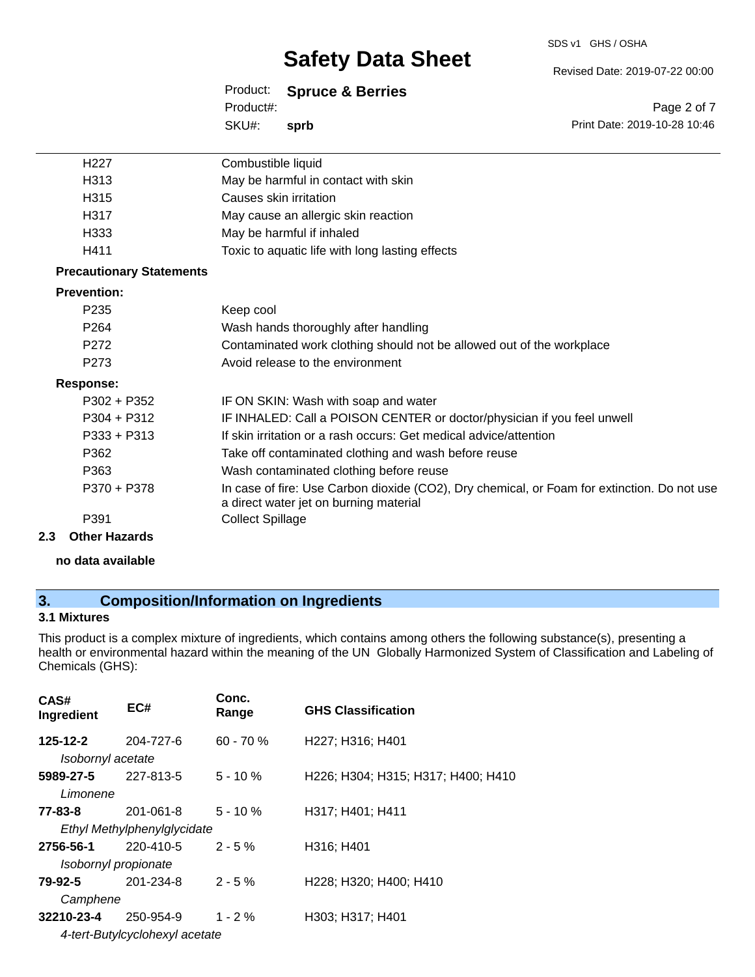#### SDS v1 GHS / OSHA

# **Safety Data Sheet**

Revised Date: 2019-07-22 00:00

Print Date: 2019-10-28 10:46

Page 2 of 7

| Product: |  | <b>Spruce &amp; Berries</b> |
|----------|--|-----------------------------|
|----------|--|-----------------------------|

SKU#: Product#: **sprb**

| H <sub>227</sub>                | Combustible liquid                                                                                                                    |
|---------------------------------|---------------------------------------------------------------------------------------------------------------------------------------|
| H313                            | May be harmful in contact with skin                                                                                                   |
| H315                            | Causes skin irritation                                                                                                                |
| H317                            | May cause an allergic skin reaction                                                                                                   |
| H333                            | May be harmful if inhaled                                                                                                             |
| H411                            | Toxic to aquatic life with long lasting effects                                                                                       |
| <b>Precautionary Statements</b> |                                                                                                                                       |
| <b>Prevention:</b>              |                                                                                                                                       |
| P <sub>235</sub>                | Keep cool                                                                                                                             |
| P <sub>264</sub>                | Wash hands thoroughly after handling                                                                                                  |
| P272                            | Contaminated work clothing should not be allowed out of the workplace                                                                 |
| P <sub>273</sub>                | Avoid release to the environment                                                                                                      |
| Response:                       |                                                                                                                                       |
| P302 + P352                     | IF ON SKIN: Wash with soap and water                                                                                                  |
| $P304 + P312$                   | IF INHALED: Call a POISON CENTER or doctor/physician if you feel unwell                                                               |
| $P333 + P313$                   | If skin irritation or a rash occurs: Get medical advice/attention                                                                     |
| P362                            | Take off contaminated clothing and wash before reuse                                                                                  |
| P363                            | Wash contaminated clothing before reuse                                                                                               |
| P370 + P378                     | In case of fire: Use Carbon dioxide (CO2), Dry chemical, or Foam for extinction. Do not use<br>a direct water jet on burning material |
| P391                            | <b>Collect Spillage</b>                                                                                                               |
| Othar Uazarda                   |                                                                                                                                       |

## **2.3 Other Hazards**

**no data available**

### **3. Composition/Information on Ingredients**

#### **3.1 Mixtures**

This product is a complex mixture of ingredients, which contains among others the following substance(s), presenting a health or environmental hazard within the meaning of the UN Globally Harmonized System of Classification and Labeling of Chemicals (GHS):

| EC#                  | Conc.<br>Range | <b>GHS Classification</b>                                     |
|----------------------|----------------|---------------------------------------------------------------|
| 204-727-6            | $60 - 70 \%$   | H227; H316; H401                                              |
| Isobornyl acetate    |                |                                                               |
| 227-813-5            | $5 - 10 \%$    | H226; H304; H315; H317; H400; H410                            |
|                      |                |                                                               |
| 201-061-8            | $5 - 10 \%$    | H317; H401; H411                                              |
|                      |                |                                                               |
| 220-410-5            | $2 - 5%$       | H316; H401                                                    |
| Isobornyl propionate |                |                                                               |
| 201-234-8            | $2 - 5%$       | H228; H320; H400; H410                                        |
| Camphene             |                |                                                               |
| 250-954-9            | $1 - 2 \%$     | H303; H317; H401                                              |
|                      |                |                                                               |
|                      |                | Ethyl Methylphenylglycidate<br>4-tert-Butylcyclohexyl acetate |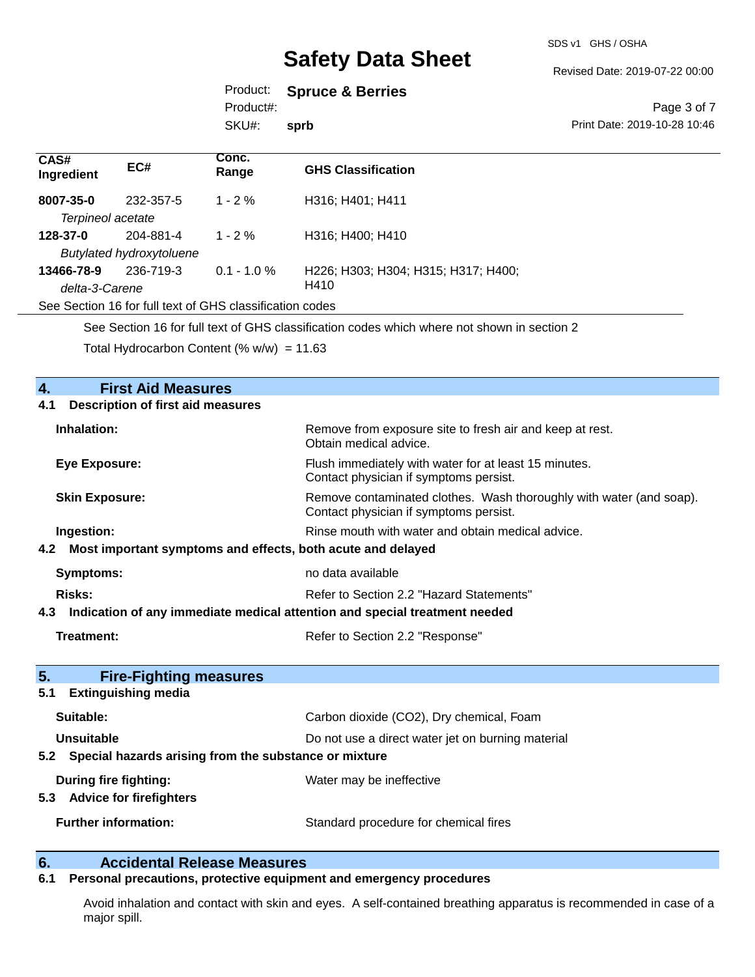SDS v1 GHS / OSHA

Revised Date: 2019-07-22 00:00

#### Product: **Spruce & Berries**

Product#:

SKU#: **sprb**

#### Page 3 of 7 Print Date: 2019-10-28 10:46

| CAS#<br>Ingredient | EC#                             | Conc.<br>Range                                           | <b>GHS Classification</b>           |
|--------------------|---------------------------------|----------------------------------------------------------|-------------------------------------|
| 8007-35-0          | 232-357-5                       | $1 - 2 \%$                                               | H316; H401; H411                    |
| Terpineol acetate  |                                 |                                                          |                                     |
| 128-37-0           | 204-881-4                       | $1 - 2\%$                                                | H316; H400; H410                    |
|                    | <b>Butylated hydroxytoluene</b> |                                                          |                                     |
| 13466-78-9         | 236-719-3                       | $0.1 - 1.0 \%$                                           | H226; H303; H304; H315; H317; H400; |
| delta-3-Carene     |                                 |                                                          | H410                                |
|                    |                                 | See Section 16 for full text of GHS classification codes |                                     |
|                    |                                 |                                                          |                                     |

See Section 16 for full text of GHS classification codes which where not shown in section 2

Total Hydrocarbon Content  $(\% w/w) = 11.63$ 

## **4. First Aid Measures 4.1 Description of first aid measures Inhalation:** Remove from exposure site to fresh air and keep at rest. Obtain medical advice. **Eye Exposure:** Flush immediately with water for at least 15 minutes. Contact physician if symptoms persist. **Skin Exposure:** Remove contaminated clothes. Wash thoroughly with water (and soap). Contact physician if symptoms persist. **Ingestion: Rinse mouth with water and obtain medical advice. Rinse mouth with water and obtain medical advice. 4.2 Most important symptoms and effects, both acute and delayed Symptoms:** no data available **Risks:** Risks: Refer to Section 2.2 "Hazard Statements" **4.3 Indication of any immediate medical attention and special treatment needed Treatment:** Treatment: Refer to Section 2.2 "Response" **5. Fire-Fighting measures 5.1 Extinguishing media Suitable:** Carbon dioxide (CO2), Dry chemical, Foam **Unsuitable** Do not use a direct water jet on burning material **5.2 Special hazards arising from the substance or mixture During fire fighting:** Water may be ineffective **5.3 Advice for firefighters Further information:** Standard procedure for chemical fires

### **6. Accidental Release Measures**

#### **6.1 Personal precautions, protective equipment and emergency procedures**

Avoid inhalation and contact with skin and eyes. A self-contained breathing apparatus is recommended in case of a major spill.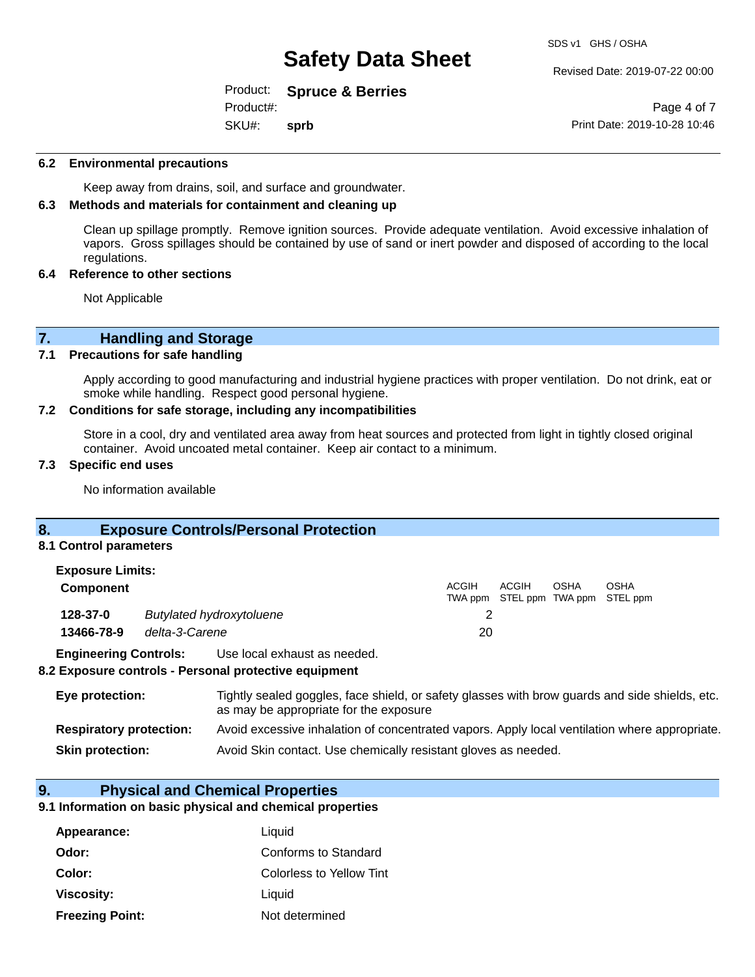Revised Date: 2019-07-22 00:00

Product: **Spruce & Berries** SKU#: Product#: **sprb**

Page 4 of 7 Print Date: 2019-10-28 10:46

#### **6.2 Environmental precautions**

Keep away from drains, soil, and surface and groundwater.

#### **6.3 Methods and materials for containment and cleaning up**

Clean up spillage promptly. Remove ignition sources. Provide adequate ventilation. Avoid excessive inhalation of vapors. Gross spillages should be contained by use of sand or inert powder and disposed of according to the local regulations.

#### **6.4 Reference to other sections**

Not Applicable

# **7. Handling and Storage**<br>**7.1** Precautions for safe handling

#### **7.1 Precautions for safe handling**

Apply according to good manufacturing and industrial hygiene practices with proper ventilation. Do not drink, eat or smoke while handling. Respect good personal hygiene.

#### **7.2 Conditions for safe storage, including any incompatibilities**

Store in a cool, dry and ventilated area away from heat sources and protected from light in tightly closed original container. Avoid uncoated metal container. Keep air contact to a minimum.

#### **7.3 Specific end uses**

No information available

#### **8. Exposure Controls/Personal Protection**

#### **8.1 Control parameters**

| <b>Exposure Limits:</b>                     |                |                              |       |       |      |                                                  |
|---------------------------------------------|----------------|------------------------------|-------|-------|------|--------------------------------------------------|
| <b>Component</b>                            |                |                              | ACGIH | ACGIH | OSHA | <b>OSHA</b><br>TWA ppm STEL ppm TWA ppm STEL ppm |
| 128-37-0<br><b>Butylated hydroxytoluene</b> |                |                              |       |       |      |                                                  |
| 13466-78-9                                  | delta-3-Carene |                              | 20    |       |      |                                                  |
| <b>Engineering Controls:</b>                |                | Use local exhaust as needed. |       |       |      |                                                  |

#### **8.2 Exposure controls - Personal protective equipment**

| Eye protection:                | Tightly sealed goggles, face shield, or safety glasses with brow guards and side shields, etc.<br>as may be appropriate for the exposure |
|--------------------------------|------------------------------------------------------------------------------------------------------------------------------------------|
| <b>Respiratory protection:</b> | Avoid excessive inhalation of concentrated vapors. Apply local ventilation where appropriate.                                            |
| <b>Skin protection:</b>        | Avoid Skin contact. Use chemically resistant gloves as needed.                                                                           |

#### **9. Physical and Chemical Properties**

#### **9.1 Information on basic physical and chemical properties**

| Appearance:            | Liquid                   |
|------------------------|--------------------------|
| Odor:                  | Conforms to Standard     |
| Color:                 | Colorless to Yellow Tint |
| Viscosity:             | Liquid                   |
| <b>Freezing Point:</b> | Not determined           |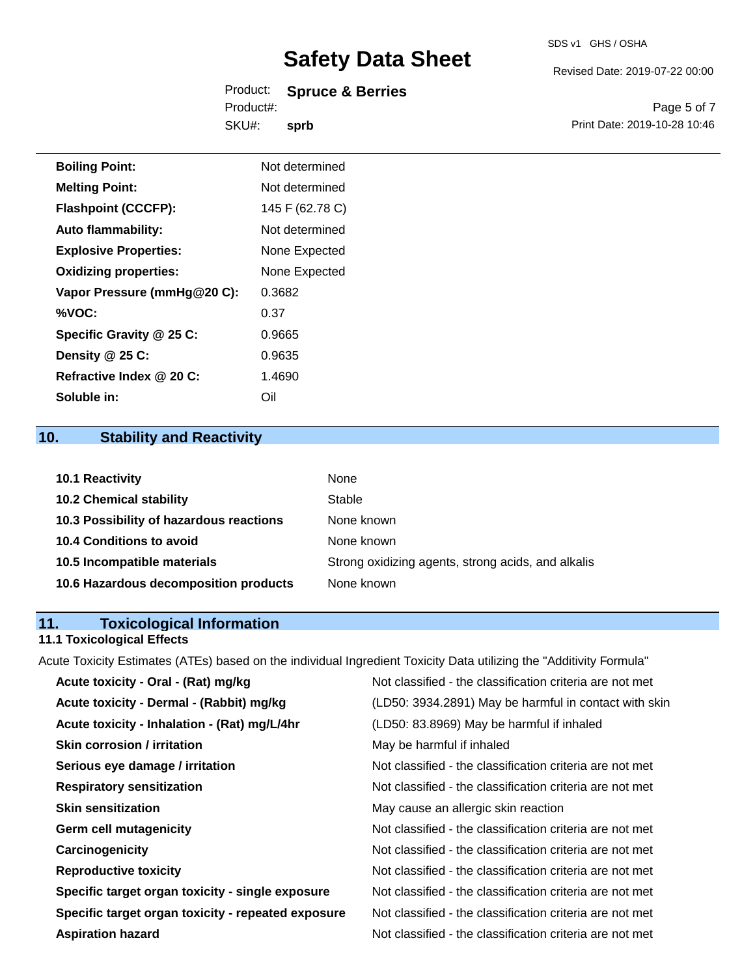#### SDS v1 GHS / OSHA

# **Safety Data Sheet**

|            | Product: Spruce & Berries |
|------------|---------------------------|
| Product#:  |                           |
| SKU#: sprb |                           |

Revised Date: 2019-07-22 00:00

Page 5 of 7 Print Date: 2019-10-28 10:46

| <b>Boiling Point:</b>        | Not determined  |
|------------------------------|-----------------|
| <b>Melting Point:</b>        | Not determined  |
| <b>Flashpoint (CCCFP):</b>   | 145 F (62.78 C) |
| <b>Auto flammability:</b>    | Not determined  |
| <b>Explosive Properties:</b> | None Expected   |
| <b>Oxidizing properties:</b> | None Expected   |
| Vapor Pressure (mmHg@20 C):  | 0.3682          |
| %VOC:                        | 0.37            |
| Specific Gravity @ 25 C:     | 0.9665          |
| Density @ 25 C:              | 0.9635          |
| Refractive Index @ 20 C:     | 1.4690          |
| Soluble in:                  | Oil             |

# **10. Stability and Reactivity**

| 10.1 Reactivity                         | None                                               |
|-----------------------------------------|----------------------------------------------------|
| <b>10.2 Chemical stability</b>          | Stable                                             |
| 10.3 Possibility of hazardous reactions | None known                                         |
| <b>10.4 Conditions to avoid</b>         | None known                                         |
| 10.5 Incompatible materials             | Strong oxidizing agents, strong acids, and alkalis |
| 10.6 Hazardous decomposition products   | None known                                         |

# **11. Toxicological Information**

### **11.1 Toxicological Effects**

Acute Toxicity Estimates (ATEs) based on the individual Ingredient Toxicity Data utilizing the "Additivity Formula"

| Acute toxicity - Oral - (Rat) mg/kg                | Not classified - the classification criteria are not met |
|----------------------------------------------------|----------------------------------------------------------|
| Acute toxicity - Dermal - (Rabbit) mg/kg           | (LD50: 3934.2891) May be harmful in contact with skin    |
| Acute toxicity - Inhalation - (Rat) mg/L/4hr       | (LD50: 83.8969) May be harmful if inhaled                |
| <b>Skin corrosion / irritation</b>                 | May be harmful if inhaled                                |
| Serious eye damage / irritation                    | Not classified - the classification criteria are not met |
| <b>Respiratory sensitization</b>                   | Not classified - the classification criteria are not met |
| <b>Skin sensitization</b>                          | May cause an allergic skin reaction                      |
| <b>Germ cell mutagenicity</b>                      | Not classified - the classification criteria are not met |
| Carcinogenicity                                    | Not classified - the classification criteria are not met |
| <b>Reproductive toxicity</b>                       | Not classified - the classification criteria are not met |
| Specific target organ toxicity - single exposure   | Not classified - the classification criteria are not met |
| Specific target organ toxicity - repeated exposure | Not classified - the classification criteria are not met |
| <b>Aspiration hazard</b>                           | Not classified - the classification criteria are not met |
|                                                    |                                                          |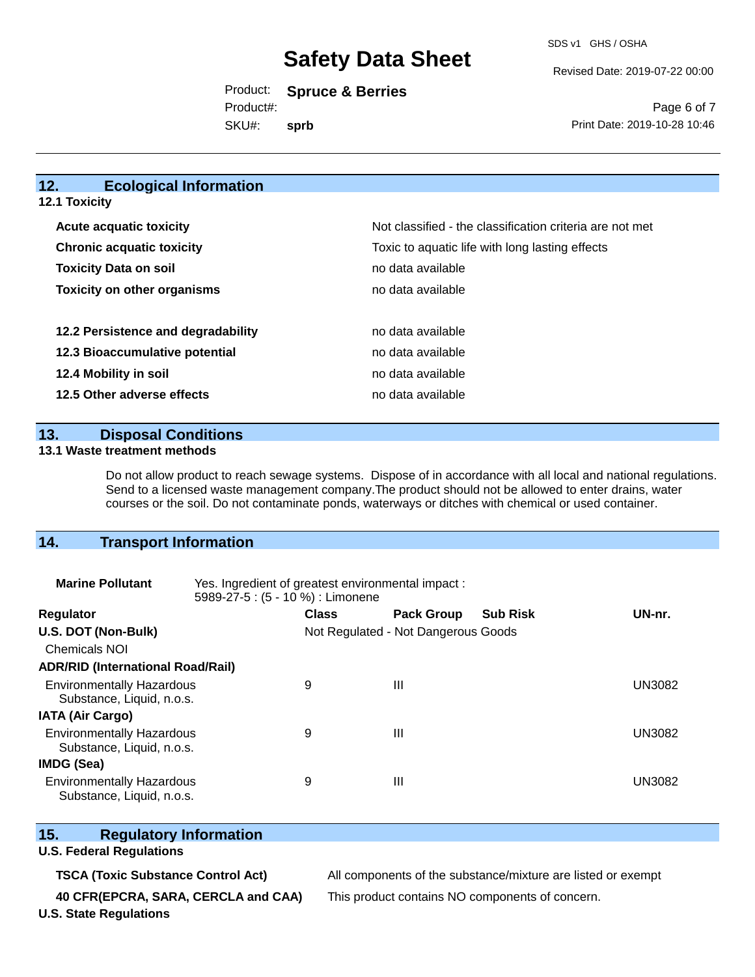Revised Date: 2019-07-22 00:00

Product: **Spruce & Berries** SKU#: Product#: **sprb**

Page 6 of 7 Print Date: 2019-10-28 10:46

### **12. Ecological Information**

| 12.1 Toxicity |  |
|---------------|--|
|               |  |

| <b>Acute acquatic toxicity</b>     | Not classified - the classification criteria are not met |
|------------------------------------|----------------------------------------------------------|
| <b>Chronic acquatic toxicity</b>   | Toxic to aquatic life with long lasting effects          |
| <b>Toxicity Data on soil</b>       | no data available                                        |
| <b>Toxicity on other organisms</b> | no data available                                        |
|                                    |                                                          |
| 12.2 Persistence and degradability | no data available                                        |
| 12.3 Bioaccumulative potential     | no data available                                        |
| 12.4 Mobility in soil              | no data available                                        |
| 12.5 Other adverse effects         | no data available                                        |

#### **13. Disposal Conditions**

#### **13.1 Waste treatment methods**

Do not allow product to reach sewage systems. Dispose of in accordance with all local and national regulations. Send to a licensed waste management company.The product should not be allowed to enter drains, water courses or the soil. Do not contaminate ponds, waterways or ditches with chemical or used container.

### **14. Transport Information**

| <b>Marine Pollutant</b>                                       | Yes. Ingredient of greatest environmental impact:<br>5989-27-5 : (5 - 10 %) : Limonene |                                     |                   |                 |               |
|---------------------------------------------------------------|----------------------------------------------------------------------------------------|-------------------------------------|-------------------|-----------------|---------------|
| <b>Regulator</b>                                              |                                                                                        | <b>Class</b>                        | <b>Pack Group</b> | <b>Sub Risk</b> | UN-nr.        |
| U.S. DOT (Non-Bulk)                                           |                                                                                        | Not Regulated - Not Dangerous Goods |                   |                 |               |
| <b>Chemicals NOI</b>                                          |                                                                                        |                                     |                   |                 |               |
| <b>ADR/RID (International Road/Rail)</b>                      |                                                                                        |                                     |                   |                 |               |
| <b>Environmentally Hazardous</b><br>Substance, Liquid, n.o.s. |                                                                                        | 9                                   | Ш                 |                 | <b>UN3082</b> |
| <b>IATA (Air Cargo)</b>                                       |                                                                                        |                                     |                   |                 |               |
| <b>Environmentally Hazardous</b><br>Substance, Liquid, n.o.s. |                                                                                        | 9                                   | Ш                 |                 | <b>UN3082</b> |
| <b>IMDG (Sea)</b>                                             |                                                                                        |                                     |                   |                 |               |
| <b>Environmentally Hazardous</b><br>Substance, Liquid, n.o.s. |                                                                                        | 9                                   | Ш                 |                 | UN3082        |

#### **15. Regulatory Information**

#### **U.S. Federal Regulations**

**TSCA (Toxic Substance Control Act)** All components of the substance/mixture are listed or exempt

**40 CFR(EPCRA, SARA, CERCLA and CAA)** This product contains NO components of concern.

**U.S. State Regulations**